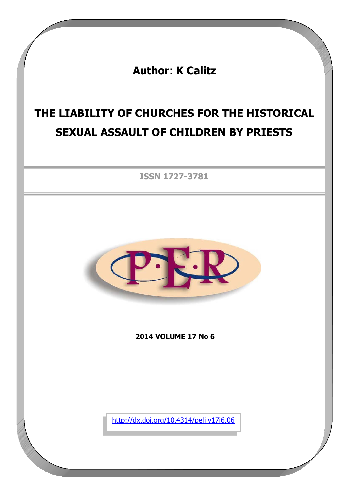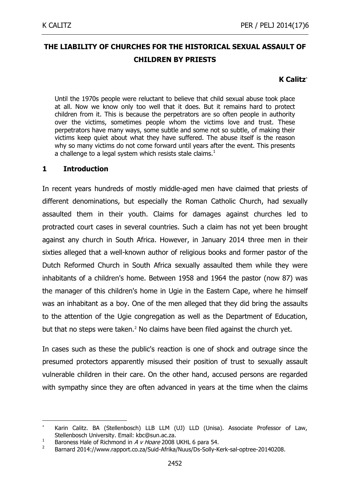# **THE LIABILITY OF CHURCHES FOR THE HISTORICAL SEXUAL ASSAULT OF CHILDREN BY PRIESTS**

#### **K Calitz**

Until the 1970s people were reluctant to believe that child sexual abuse took place at all. Now we know only too well that it does. But it remains hard to protect children from it. This is because the perpetrators are so often people in authority over the victims, sometimes people whom the victims love and trust. These perpetrators have many ways, some subtle and some not so subtle, of making their victims keep quiet about what they have suffered. The abuse itself is the reason why so many victims do not come forward until years after the event. This presents a challenge to a legal system which resists stale claims.<sup>1</sup>

#### **1 Introduction**

-

In recent years hundreds of mostly middle-aged men have claimed that priests of different denominations, but especially the Roman Catholic Church, had sexually assaulted them in their youth. Claims for damages against churches led to protracted court cases in several countries. Such a claim has not yet been brought against any church in South Africa. However, in January 2014 three men in their sixties alleged that a well-known author of religious books and former pastor of the Dutch Reformed Church in South Africa sexually assaulted them while they were inhabitants of a children's home. Between 1958 and 1964 the pastor (now 87) was the manager of this children's home in Ugie in the Eastern Cape, where he himself was an inhabitant as a boy. One of the men alleged that they did bring the assaults to the attention of the Ugie congregation as well as the Department of Education, but that no steps were taken.<sup>2</sup> No claims have been filed against the church yet.

In cases such as these the public's reaction is one of shock and outrage since the presumed protectors apparently misused their position of trust to sexually assault vulnerable children in their care. On the other hand, accused persons are regarded with sympathy since they are often advanced in years at the time when the claims

<sup>×</sup> Karin Calitz. BA (Stellenbosch) LLB LLM (UJ) LLD (Unisa). Associate Professor of Law, Stellenbosch University. Email: kbc@sun.ac.za.

<sup>1</sup> Baroness Hale of Richmond in A v Hoare 2008 UKHL 6 para 54.

<sup>2</sup> Barnard 2014://www.rapport.co.za/Suid-Afrika/Nuus/Ds-Solly-Kerk-sal-optree-20140208.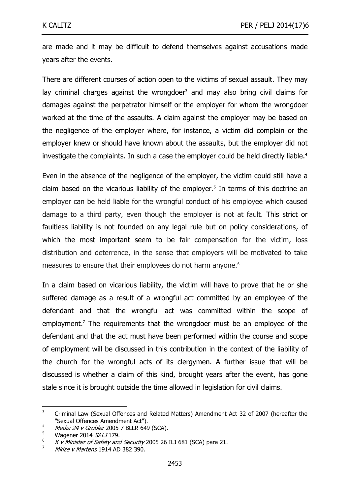are made and it may be difficult to defend themselves against accusations made years after the events.

There are different courses of action open to the victims of sexual assault. They may lay criminal charges against the wrongdoer<sup>3</sup> and may also bring civil claims for damages against the perpetrator himself or the employer for whom the wrongdoer worked at the time of the assaults. A claim against the employer may be based on the negligence of the employer where, for instance, a victim did complain or the employer knew or should have known about the assaults, but the employer did not investigate the complaints. In such a case the employer could be held directly liable.<sup>4</sup>

Even in the absence of the negligence of the employer, the victim could still have a claim based on the vicarious liability of the employer. 5 In terms of this doctrine an employer can be held liable for the wrongful conduct of his employee which caused damage to a third party, even though the employer is not at fault. This strict or faultless liability is not founded on any legal rule but on policy considerations, of which the most important seem to be fair compensation for the victim, loss distribution and deterrence, in the sense that employers will be motivated to take measures to ensure that their employees do not harm anyone.<sup>6</sup>

In a claim based on vicarious liability, the victim will have to prove that he or she suffered damage as a result of a wrongful act committed by an employee of the defendant and that the wrongful act was committed within the scope of employment.<sup>7</sup> The requirements that the wrongdoer must be an employee of the defendant and that the act must have been performed within the course and scope of employment will be discussed in this contribution in the context of the liability of the church for the wrongful acts of its clergymen. A further issue that will be discussed is whether a claim of this kind, brought years after the event, has gone stale since it is brought outside the time allowed in legislation for civil claims.

 $\frac{1}{3}$ Criminal Law (Sexual Offences and Related Matters) Amendment Act 32 of 2007 (hereafter the "Sexual Offences Amendment Act").

 $^{4}$  Media 24 v Grobler 2005 7 BLLR 649 (SCA).

Wagener 2014 SALJ 179.

<sup>6</sup> K v Minister of Safety and Security 2005 26 ILJ 681 (SCA) para 21.

 $W<sup>7</sup>$  Mkize v Martens 1914 AD 382 390.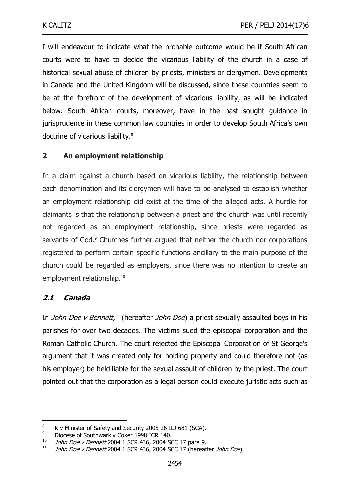I will endeavour to indicate what the probable outcome would be if South African courts were to have to decide the vicarious liability of the church in a case of historical sexual abuse of children by priests, ministers or clergymen. Developments in Canada and the United Kingdom will be discussed, since these countries seem to be at the forefront of the development of vicarious liability, as will be indicated below. South African courts, moreover, have in the past sought guidance in jurisprudence in these common law countries in order to develop South Africa's own doctrine of vicarious liability.<sup>8</sup>

### **2 An employment relationship**

In a claim against a church based on vicarious liability, the relationship between each denomination and its clergymen will have to be analysed to establish whether an employment relationship did exist at the time of the alleged acts. A hurdle for claimants is that the relationship between a priest and the church was until recently not regarded as an employment relationship, since priests were regarded as servants of God.<sup>9</sup> Churches further argued that neither the church nor corporations registered to perform certain specific functions ancillary to the main purpose of the church could be regarded as employers, since there was no intention to create an employment relationship.<sup>10</sup>

### **2.1 Canada**

-

In *John Doe v Bennett*,<sup>11</sup> (hereafter *John Doe*) a priest sexually assaulted boys in his parishes for over two decades. The victims sued the episcopal corporation and the Roman Catholic Church. The court rejected the Episcopal Corporation of St George's argument that it was created only for holding property and could therefore not (as his employer) be held liable for the sexual assault of children by the priest. The court pointed out that the corporation as a legal person could execute juristic acts such as

<sup>8</sup> K v Minister of Safety and Security 2005 26 ILJ 681 (SCA).

<sup>&</sup>lt;sup>9</sup> Diocese of Southwark v Coker 1998 ICR 140.<br> $\frac{10}{20}$  John Dee v Bennett 2004 1 SCR 426, 2004 SC

 $10$  John Doe v Bennett 2004 1 SCR 436, 2004 SCC 17 para 9.

John Doe v Bennett 2004 1 SCR 436, 2004 SCC 17 (hereafter John Doe).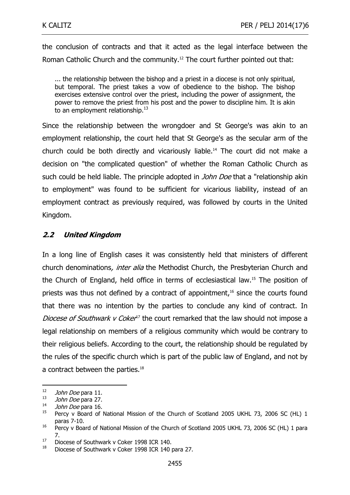the conclusion of contracts and that it acted as the legal interface between the Roman Catholic Church and the community. <sup>12</sup> The court further pointed out that:

... the relationship between the bishop and a priest in a diocese is not only spiritual, but temporal. The priest takes a vow of obedience to the bishop. The bishop exercises extensive control over the priest, including the power of assignment, the power to remove the priest from his post and the power to discipline him. It is akin to an employment relationship.<sup>13</sup>

Since the relationship between the wrongdoer and St George's was akin to an employment relationship, the court held that St George's as the secular arm of the church could be both directly and vicariously liable. <sup>14</sup> The court did not make a decision on "the complicated question" of whether the Roman Catholic Church as such could be held liable. The principle adopted in *John Doe* that a "relationship akin to employment" was found to be sufficient for vicarious liability, instead of an employment contract as previously required, was followed by courts in the United Kingdom.

### **2.2 United Kingdom**

In a long line of English cases it was consistently held that ministers of different church denominations, *inter alia* the Methodist Church, the Presbyterian Church and the Church of England, held office in terms of ecclesiastical law. <sup>15</sup> The position of priests was thus not defined by a contract of appointment, <sup>16</sup> since the courts found that there was no intention by the parties to conclude any kind of contract. In Diocese of Southwark v Coker<sup>17</sup> the court remarked that the law should not impose a legal relationship on members of a religious community which would be contrary to their religious beliefs. According to the court, the relationship should be regulated by the rules of the specific church which is part of the public law of England, and not by a contract between the parties.<sup>18</sup>

 $\frac{12}{13}$  John Doe para 11.

John Doe para 27.

 $\frac{14}{15}$  *John Doe* para 16.

Percy v Board of National Mission of the Church of Scotland 2005 UKHL 73, 2006 SC (HL) 1 paras 7-10.

 $16$  Percy v Board of National Mission of the Church of Scotland 2005 UKHL 73, 2006 SC (HL) 1 para 7.

<sup>&</sup>lt;sup>17</sup> Diocese of Southwark v Coker 1998 ICR 140.

Diocese of Southwark v Coker 1998 ICR 140 para 27.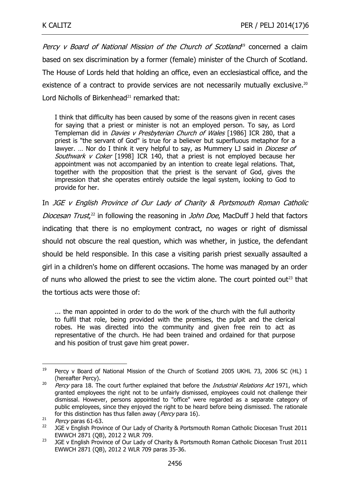Percy v Board of National Mission of the Church of Scotland<sup>19</sup> concerned a claim based on sex discrimination by a former (female) minister of the Church of Scotland. The House of Lords held that holding an office, even an ecclesiastical office, and the existence of a contract to provide services are not necessarily mutually exclusive.<sup>20</sup> Lord Nicholls of Birkenhead<sup>21</sup> remarked that:

I think that difficulty has been caused by some of the reasons given in recent cases for saying that a priest or minister is not an employed person. To say, as Lord Templeman did in *Davies v Presbyterian Church of Wales* [1986] ICR 280, that a priest is "the servant of God" is true for a believer but superfluous metaphor for a lawyer. ... Nor do I think it very helpful to say, as Mummery LJ said in *Diocese of* Southwark v Coker [1998] ICR 140, that a priest is not employed because her appointment was not accompanied by an intention to create legal relations. That, together with the proposition that the priest is the servant of God, gives the impression that she operates entirely outside the legal system, looking to God to provide for her.

In JGE v English Province of Our Lady of Charity & Portsmouth Roman Catholic Diocesan Trust,<sup>22</sup> in following the reasoning in John Doe, MacDuff J held that factors indicating that there is no employment contract, no wages or right of dismissal should not obscure the real question, which was whether, in justice, the defendant should be held responsible. In this case a visiting parish priest sexually assaulted a girl in a children's home on different occasions. The home was managed by an order of nuns who allowed the priest to see the victim alone. The court pointed out<sup>23</sup> that the tortious acts were those of:

... the man appointed in order to do the work of the church with the full authority to fulfil that role, being provided with the premises, the pulpit and the clerical robes. He was directed into the community and given free rein to act as representative of the church. He had been trained and ordained for that purpose and his position of trust gave him great power.

<sup>19</sup> Percy v Board of National Mission of the Church of Scotland 2005 UKHL 73, 2006 SC (HL) 1 (hereafter Percy).

 $20$  Percy para 18. The court further explained that before the *Industrial Relations Act* 1971, which granted employees the right not to be unfairly dismissed, employees could not challenge their dismissal. However, persons appointed to "office" were regarded as a separate category of public employees, since they enjoyed the right to be heard before being dismissed. The rationale for this distinction has thus fallen away (Percy para 16).

 $\frac{21}{22}$  Percy paras 61-63.

<sup>22</sup> JGE v English Province of Our Lady of Charity & Portsmouth Roman Catholic Diocesan Trust 2011 EWWCH 2871 (QB), 2012 2 WLR 709.

 $23$  JGE v English Province of Our Lady of Charity & Portsmouth Roman Catholic Diocesan Trust 2011 EWWCH 2871 (QB), 2012 2 WLR 709 paras 35-36.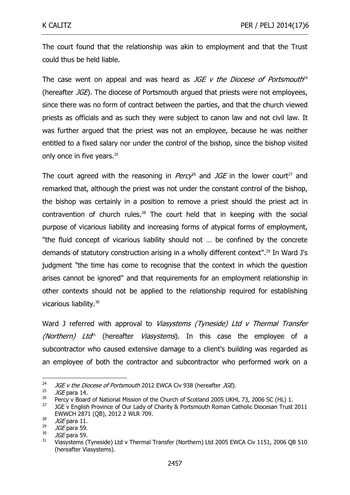The court found that the relationship was akin to employment and that the Trust could thus be held liable.

The case went on appeal and was heard as *JGE v the Diocese of Portsmouth*<sup>24</sup> (hereafter JGE). The diocese of Portsmouth argued that priests were not employees, since there was no form of contract between the parties, and that the church viewed priests as officials and as such they were subject to canon law and not civil law. It was further argued that the priest was not an employee, because he was neither entitled to a fixed salary nor under the control of the bishop, since the bishop visited only once in five years.<sup>25</sup>

The court agreed with the reasoning in *Percy*<sup>26</sup> and *JGE* in the lower court<sup>27</sup> and remarked that, although the priest was not under the constant control of the bishop, the bishop was certainly in a position to remove a priest should the priest act in contravention of church rules.<sup>28</sup> The court held that in keeping with the social purpose of vicarious liability and increasing forms of atypical forms of employment, "the fluid concept of vicarious liability should not … be confined by the concrete demands of statutory construction arising in a wholly different context". <sup>29</sup> In Ward J's judgment "the time has come to recognise that the context in which the question arises cannot be ignored" and that requirements for an employment relationship in other contexts should not be applied to the relationship required for establishing vicarious liability. 30

Ward J referred with approval to Viasystems (Tyneside) Ltd v Thermal Transfer (Northern) Ltd<sup>31</sup> (hereafter Viasystems). In this case the employee of a subcontractor who caused extensive damage to a client's building was regarded as an employee of both the contractor and subcontractor who performed work on a

<sup>&</sup>lt;sup>24</sup> *JGE v the Diocese of Portsmouth* 2012 EWCA Civ 938 (hereafter *JGE*).

 $\frac{25}{26}$  *JGE* para 14.

<sup>&</sup>lt;sup>26</sup> Percy v Board of National Mission of the Church of Scotland 2005 UKHL 73, 2006 SC (HL) 1.<br><sup>27</sup> PCE y English Province of Qur Lady of Charity 8: Pertemeuth Reman Catholic Diocesan Trust.

JGE v English Province of Our Lady of Charity & Portsmouth Roman Catholic Diocesan Trust 2011 EWWCH 2871 (QB), 2012 2 WLR 709.

 $\frac{28}{29}$  *JGE* para 11.

 $\frac{29}{30}$  *JGE* para 59.

 $30$  *JGE* para 59.

<sup>31</sup> Viasystems (Tyneside) Ltd v Thermal Transfer (Northern) Ltd 2005 EWCA Civ 1151, 2006 QB 510 (hereafter Viasystems).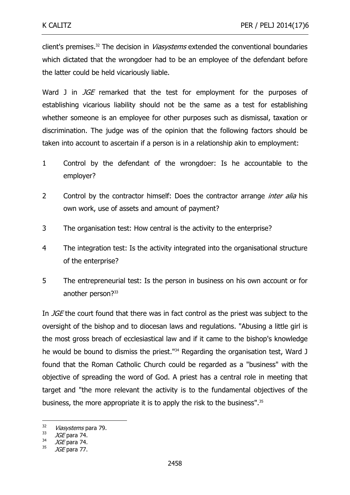client's premises.<sup>32</sup> The decision in *Viasystems* extended the conventional boundaries which dictated that the wrongdoer had to be an employee of the defendant before the latter could be held vicariously liable.

Ward J in JGE remarked that the test for employment for the purposes of establishing vicarious liability should not be the same as a test for establishing whether someone is an employee for other purposes such as dismissal, taxation or discrimination. The judge was of the opinion that the following factors should be taken into account to ascertain if a person is in a relationship akin to employment:

- 1 Control by the defendant of the wrongdoer: Is he accountable to the employer?
- 2 Control by the contractor himself: Does the contractor arrange *inter alia* his own work, use of assets and amount of payment?
- 3 The organisation test: How central is the activity to the enterprise?
- 4 The integration test: Is the activity integrated into the organisational structure of the enterprise?
- 5 The entrepreneurial test: Is the person in business on his own account or for another person?<sup>33</sup>

In *JGE* the court found that there was in fact control as the priest was subject to the oversight of the bishop and to diocesan laws and regulations. "Abusing a little girl is the most gross breach of ecclesiastical law and if it came to the bishop's knowledge he would be bound to dismiss the priest."<sup>34</sup> Regarding the organisation test, Ward J found that the Roman Catholic Church could be regarded as a "business" with the objective of spreading the word of God. A priest has a central role in meeting that target and "the more relevant the activity is to the fundamental objectives of the business, the more appropriate it is to apply the risk to the business". 35

 $\frac{32}{33}$  *Viasystems* para 79.

 $33 \text{ JGE}$  para 74.

 $\frac{34}{35}$  *JGE* para 74.

JGE para 77.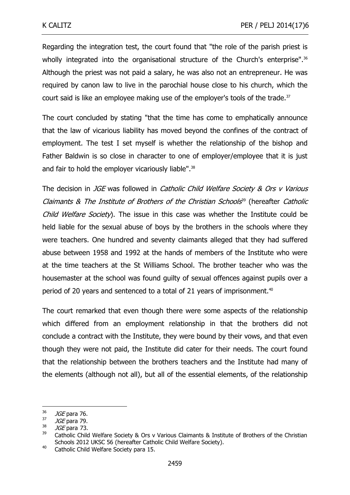Regarding the integration test, the court found that "the role of the parish priest is wholly integrated into the organisational structure of the Church's enterprise".<sup>36</sup> Although the priest was not paid a salary, he was also not an entrepreneur. He was required by canon law to live in the parochial house close to his church, which the court said is like an employee making use of the employer's tools of the trade.<sup>37</sup>

The court concluded by stating "that the time has come to emphatically announce that the law of vicarious liability has moved beyond the confines of the contract of employment. The test I set myself is whether the relationship of the bishop and Father Baldwin is so close in character to one of employer/employee that it is just and fair to hold the employer vicariously liable". 38

The decision in JGE was followed in Catholic Child Welfare Society & Ors v Various Claimants & The Institute of Brothers of the Christian Schools<sup>39</sup> (hereafter Catholic Child Welfare Society). The issue in this case was whether the Institute could be held liable for the sexual abuse of boys by the brothers in the schools where they were teachers. One hundred and seventy claimants alleged that they had suffered abuse between 1958 and 1992 at the hands of members of the Institute who were at the time teachers at the St Williams School. The brother teacher who was the housemaster at the school was found guilty of sexual offences against pupils over a period of 20 years and sentenced to a total of 21 years of imprisonment.<sup>40</sup>

The court remarked that even though there were some aspects of the relationship which differed from an employment relationship in that the brothers did not conclude a contract with the Institute, they were bound by their vows, and that even though they were not paid, the Institute did cater for their needs. The court found that the relationship between the brothers teachers and the Institute had many of the elements (although not all), but all of the essential elements, of the relationship

 $36$  *JGE* para 76.

 $\frac{37}{38}$  *JGE* para 79.

 $38$  *JGE* para 73.

Catholic Child Welfare Society & Ors v Various Claimants & Institute of Brothers of the Christian Schools 2012 UKSC 56 (hereafter Catholic Child Welfare Society).

<sup>40</sup> Catholic Child Welfare Society para 15.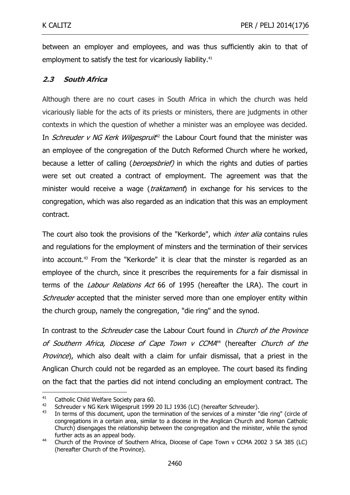between an employer and employees, and was thus sufficiently akin to that of employment to satisfy the test for vicariously liability.<sup>41</sup>

# **2.3 South Africa**

Although there are no court cases in South Africa in which the church was held vicariously liable for the acts of its priests or ministers, there are judgments in other contexts in which the question of whether a minister was an employee was decided. In *Schreuder v NG Kerk Wilgespruit*<sup>42</sup> the Labour Court found that the minister was an employee of the congregation of the Dutch Reformed Church where he worked, because a letter of calling (*beroepsbrief*) in which the rights and duties of parties were set out created a contract of employment. The agreement was that the minister would receive a wage (*traktament*) in exchange for his services to the congregation, which was also regarded as an indication that this was an employment contract.

The court also took the provisions of the "Kerkorde", which *inter alia* contains rules and regulations for the employment of minsters and the termination of their services into account.<sup>43</sup> From the "Kerkorde" it is clear that the minster is regarded as an employee of the church, since it prescribes the requirements for a fair dismissal in terms of the *Labour Relations Act* 66 of 1995 (hereafter the LRA). The court in Schreuder accepted that the minister served more than one employer entity within the church group, namely the congregation, "die ring" and the synod.

In contrast to the *Schreuder* case the Labour Court found in *Church of the Province* of Southern Africa, Diocese of Cape Town v CCMA<sup>44</sup> (hereafter Church of the Province), which also dealt with a claim for unfair dismissal, that a priest in the Anglican Church could not be regarded as an employee. The court based its finding on the fact that the parties did not intend concluding an employment contract. The

 $41$ <sup>41</sup> Catholic Child Welfare Society para 60.

<sup>&</sup>lt;sup>42</sup> Schreuder v NG Kerk Wilgespruit 1999 20 ILJ 1936 (LC) (hereafter Schreuder).<br><sup>43</sup> In terms of this document, upon the termination of the sensices of a minster."

In terms of this document, upon the termination of the services of a minster "die ring" (circle of congregations in a certain area, similar to a diocese in the Anglican Church and Roman Catholic Church) disengages the relationship between the congregation and the minister, while the synod further acts as an appeal body.

<sup>44</sup> Church of the Province of Southern Africa, Diocese of Cape Town v CCMA 2002 3 SA 385 (LC) (hereafter Church of the Province).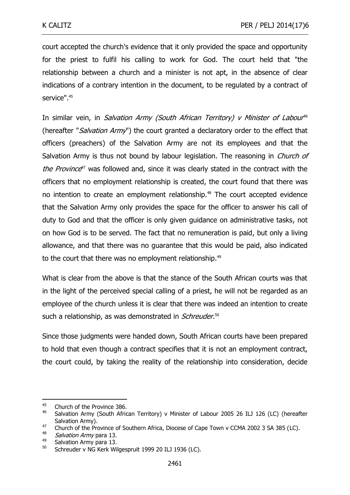court accepted the church's evidence that it only provided the space and opportunity for the priest to fulfil his calling to work for God. The court held that "the relationship between a church and a minister is not apt, in the absence of clear indications of a contrary intention in the document, to be regulated by a contract of service". 45

In similar vein, in *Salvation Army (South African Territory) v Minister of Labour<sup>46</sup>* (hereafter "Salvation Army") the court granted a declaratory order to the effect that officers (preachers) of the Salvation Army are not its employees and that the Salvation Army is thus not bound by labour legislation. The reasoning in *Church of* the Province<sup>47</sup> was followed and, since it was clearly stated in the contract with the officers that no employment relationship is created, the court found that there was no intention to create an employment relationship.<sup>48</sup> The court accepted evidence that the Salvation Army only provides the space for the officer to answer his call of duty to God and that the officer is only given guidance on administrative tasks, not on how God is to be served. The fact that no remuneration is paid, but only a living allowance, and that there was no guarantee that this would be paid, also indicated to the court that there was no employment relationship.<sup>49</sup>

What is clear from the above is that the stance of the South African courts was that in the light of the perceived special calling of a priest, he will not be regarded as an employee of the church unless it is clear that there was indeed an intention to create such a relationship, as was demonstrated in *Schreuder*.<sup>50</sup>

Since those judgments were handed down, South African courts have been prepared to hold that even though a contract specifies that it is not an employment contract, the court could, by taking the reality of the relationship into consideration, decide

<sup>&</sup>lt;sup>45</sup> Church of the Province 386.

<sup>&</sup>lt;sup>46</sup> Salvation Army (South African Territory) v Minister of Labour 2005 26 ILJ 126 (LC) (hereafter Salvation Army).

<sup>&</sup>lt;sup>47</sup> Church of the Province of Southern Africa, Diocese of Cape Town v CCMA 2002 3 SA 385 (LC).

 $^{48}$  *Salvation Army* para 13.

 $^{49}$  Salvation Army para 13.<br> $^{50}$  Schrouder v NG Kork Wi

Schreuder v NG Kerk Wilgespruit 1999 20 ILJ 1936 (LC).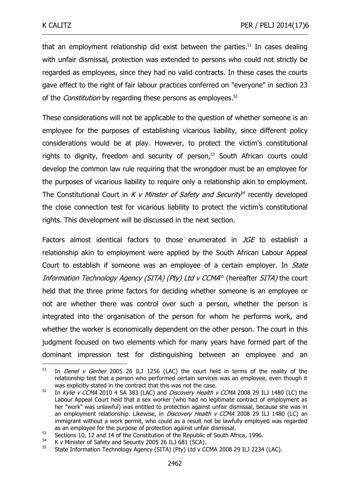that an employment relationship did exist between the parties.<sup>51</sup> In cases dealing with unfair dismissal, protection was extended to persons who could not strictly be regarded as employees, since they had no valid contracts. In these cases the courts gave effect to the right of fair labour practices conferred on "everyone" in section 23 of the *Constitution* by regarding these persons as employees.<sup>52</sup>

These considerations will not be applicable to the question of whether someone is an employee for the purposes of establishing vicarious liability, since different policy considerations would be at play. However, to protect the victim's constitutional rights to dignity, freedom and security of person,<sup>53</sup> South African courts could develop the common law rule requiring that the wrongdoer must be an employee for the purposes of vicarious liability to require only a relationship akin to employment. The Constitutional Court in K v Minster of Safety and Security<sup>54</sup> recently developed the close connection test for vicarious liability to protect the victim's constitutional rights. This development will be discussed in the next section.

Factors almost identical factors to those enumerated in JGE to establish a relationship akin to employment were applied by the South African Labour Appeal Court to establish if someone was an employee of a certain employer. In State Information Technology Agency (SITA) (Pty) Ltd v CCMA<sup>55</sup> (hereafter SITA) the court held that the three prime factors for deciding whether someone is an employee or not are whether there was control over such a person, whether the person is integrated into the organisation of the person for whom he performs work, and whether the worker is economically dependent on the other person. The court in this judgment focused on two elements which for many years have formed part of the dominant impression test for distinguishing between an employee and an

 $51$ In Denel v Gerber 2005 26 ILJ 1256 (LAC) the court held in terms of the reality of the relationship test that a person who performed certain services was an employee, even though it was explicitly stated in the contract that this was not the case.

 $\frac{52}{10}$  In Kylie v CCMA 2010 4 SA 383 (LAC) and *Discovery Health v CCMA* 2008 29 ILJ 1480 (LC) the Labour Appeal Court held that a sex worker (who had no legitimate contract of employment as her "work" was unlawful) was entitled to protection against unfair dismissal, because she was in an employment relationship. Likewise, in *Discovery Health v CCMA* 2008 29 ILJ 1480 (LC) an immigrant without a work permit, who could as a result not be lawfully employed was regarded as an employee for the purpose of protection against unfair dismissal.

<sup>53</sup> Sections 10, 12 and 14 of the Constitution of the Republic of South Africa, 1996.<br> $Kv$  Minister of Safety and Security 2005 26 JJ 1681 (SCA)

 $^{54}$  K v Minister of Safety and Security 2005 26 ILJ 681 (SCA).<br> $^{55}$  State Information Technology Agency (SITA) (Ph) Ltd y C

State Information Technology Agency (SITA) (Pty) Ltd v CCMA 2008 29 ILJ 2234 (LAC).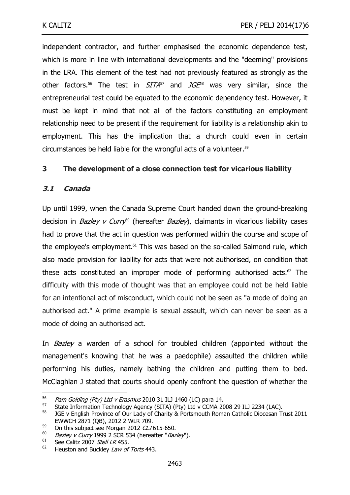independent contractor, and further emphasised the economic dependence test, which is more in line with international developments and the "deeming" provisions in the LRA. This element of the test had not previously featured as strongly as the other factors.<sup>56</sup> The test in SITA<sup>57</sup> and JGE<sup>58</sup> was very similar, since the entrepreneurial test could be equated to the economic dependency test. However, it must be kept in mind that not all of the factors constituting an employment relationship need to be present if the requirement for liability is a relationship akin to employment. This has the implication that a church could even in certain circumstances be held liable for the wrongful acts of a volunteer. 59

# **3 The development of a close connection test for vicarious liability**

# **3.1 Canada**

Up until 1999, when the Canada Supreme Court handed down the ground-breaking decision in *Bazley v Curry*<sup>®</sup> (hereafter *Bazley*), claimants in vicarious liability cases had to prove that the act in question was performed within the course and scope of the employee's employment.<sup>61</sup> This was based on the so-called Salmond rule, which also made provision for liability for acts that were not authorised, on condition that these acts constituted an improper mode of performing authorised acts.<sup>62</sup> The difficulty with this mode of thought was that an employee could not be held liable for an intentional act of misconduct, which could not be seen as "a mode of doing an authorised act." A prime example is sexual assault, which can never be seen as a mode of doing an authorised act.

In *Bazley* a warden of a school for troubled children (appointed without the management's knowing that he was a paedophile) assaulted the children while performing his duties, namely bathing the children and putting them to bed. McClaghlan J stated that courts should openly confront the question of whether the

<sup>56</sup> <sup>56</sup> Pam Golding (Pty) Ltd v Erasmus 2010 31 ILJ 1460 (LC) para 14.<br><sup>57</sup> Etate Information Technology Agency (SITA) (Pty) Ltd v CCMA 20

<sup>57</sup> State Information Technology Agency (SITA) (Pty) Ltd v CCMA 2008 29 ILJ 2234 (LAC).<br>58 ICE y English Province of Our Lady of Charity & Portsmouth Poman Catholic Diocesan Tu

<sup>58</sup> JGE v English Province of Our Lady of Charity & Portsmouth Roman Catholic Diocesan Trust 2011 EWWCH 2871 (QB), 2012 2 WLR 709.

<sup>&</sup>lt;sup>59</sup> On this subject see Morgan 2012 *CLJ* 615-650.

 $^{60}$  Bazley v Curry 1999 2 SCR 534 (hereafter "Bazley").

 $^{61}$  See Calitz 2007 *Stell LR* 455.

Heuston and Buckley Law of Torts 443.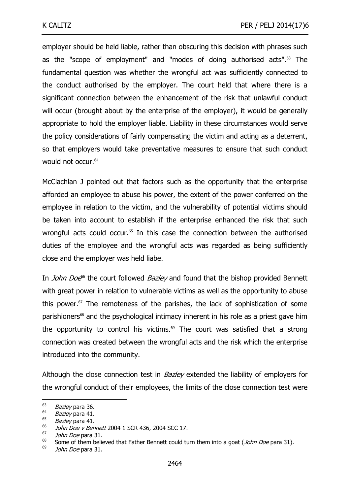employer should be held liable, rather than obscuring this decision with phrases such as the "scope of employment" and "modes of doing authorised acts". <sup>63</sup> The fundamental question was whether the wrongful act was sufficiently connected to the conduct authorised by the employer. The court held that where there is a significant connection between the enhancement of the risk that unlawful conduct will occur (brought about by the enterprise of the employer), it would be generally appropriate to hold the employer liable. Liability in these circumstances would serve the policy considerations of fairly compensating the victim and acting as a deterrent, so that employers would take preventative measures to ensure that such conduct would not occur.<sup>64</sup>

McClachlan J pointed out that factors such as the opportunity that the enterprise afforded an employee to abuse his power, the extent of the power conferred on the employee in relation to the victim, and the vulnerability of potential victims should be taken into account to establish if the enterprise enhanced the risk that such wrongful acts could occur.<sup>65</sup> In this case the connection between the authorised duties of the employee and the wrongful acts was regarded as being sufficiently close and the employer was held liabe.

In *John Doe*<sup>66</sup> the court followed *Bazley* and found that the bishop provided Bennett with great power in relation to vulnerable victims as well as the opportunity to abuse this power. $67$  The remoteness of the parishes, the lack of sophistication of some parishioners<sup>68</sup> and the psychological intimacy inherent in his role as a priest gave him the opportunity to control his victims. <sup>69</sup> The court was satisfied that a strong connection was created between the wrongful acts and the risk which the enterprise introduced into the community.

Although the close connection test in *Bazley* extended the liability of employers for the wrongful conduct of their employees, the limits of the close connection test were

<sup>63</sup>  $\frac{63}{64}$  *Bazley* para 36.

 $^{64}$  *Bazley* para 41.

 $^{65}$  *Bazley* para 41.

 $^{66}$  John Doe v Bennett 2004 1 SCR 436, 2004 SCC 17.

 $^{67}$  *John Doe* para 31.

<sup>&</sup>lt;sup>68</sup> Some of them believed that Father Bennett could turn them into a goat (*John Doe* para 31).

John Doe para 31.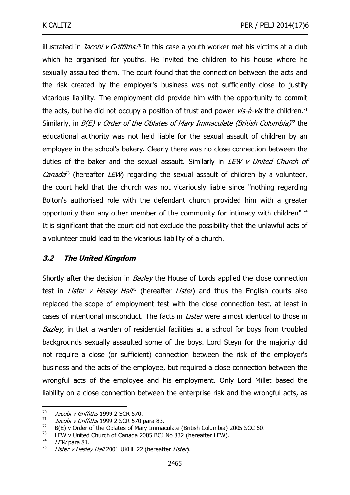illustrated in *Jacobi v Griffiths*.<sup>70</sup> In this case a youth worker met his victims at a club which he organised for youths. He invited the children to his house where he sexually assaulted them. The court found that the connection between the acts and the risk created by the employer's business was not sufficiently close to justify vicarious liability. The employment did provide him with the opportunity to commit the acts, but he did not occupy a position of trust and power  $vis-\partial - vis$  the children.<sup>71</sup> Similarly, in  $B(E)$  v Order of the Oblates of Mary Immaculate (British Columbia)<sup>72</sup> the educational authority was not held liable for the sexual assault of children by an employee in the school's bakery. Clearly there was no close connection between the duties of the baker and the sexual assault. Similarly in  $LEW$  v United Church of *Canada*<sup>73</sup> (hereafter *LEW*) regarding the sexual assault of children by a volunteer, the court held that the church was not vicariously liable since "nothing regarding Bolton's authorised role with the defendant church provided him with a greater opportunity than any other member of the community for intimacy with children". 74 It is significant that the court did not exclude the possibility that the unlawful acts of a volunteer could lead to the vicarious liability of a church.

### **3.2 The United Kingdom**

Shortly after the decision in *Bazley* the House of Lords applied the close connection test in *Lister v Hesley Hall*<sup>5</sup> (hereafter *Lister*) and thus the English courts also replaced the scope of employment test with the close connection test, at least in cases of intentional misconduct. The facts in *Lister* were almost identical to those in Bazley, in that a warden of residential facilities at a school for boys from troubled backgrounds sexually assaulted some of the boys. Lord Steyn for the majority did not require a close (or sufficient) connection between the risk of the employer's business and the acts of the employee, but required a close connection between the wrongful acts of the employee and his employment. Only Lord Millet based the liability on a close connection between the enterprise risk and the wrongful acts, as

 $^{73}$  LEW v United Church of Canada 2005 BCJ No 832 (hereafter LEW).

 $70$  Jacobi v Griffiths 1999 2 SCR 570.

 $^{71}$  Jacobi v Griffiths 1999 2 SCR 570 para 83.

 $72$  B(E) v Order of the Oblates of Mary Immaculate (British Columbia) 2005 SCC 60.<br> $73$  LEW v United Church of Canada 2005 BCJ No. 822 (bereafter LEW)

 $\frac{74}{75}$  LEW para 81.

Lister v Hesley Hall 2001 UKHL 22 (hereafter Lister).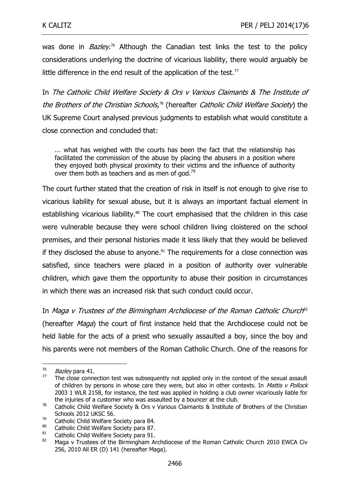was done in *Bazley*.<sup>76</sup> Although the Canadian test links the test to the policy considerations underlying the doctrine of vicarious liability, there would arguably be little difference in the end result of the application of the test. $77$ 

In The Catholic Child Welfare Society & Ors v Various Claimants & The Institute of the Brothers of the Christian Schools,<sup>78</sup> (hereafter Catholic Child Welfare Society) the UK Supreme Court analysed previous judgments to establish what would constitute a close connection and concluded that:

... what has weighed with the courts has been the fact that the relationship has facilitated the commission of the abuse by placing the abusers in a position where they enjoyed both physical proximity to their victims and the influence of authority over them both as teachers and as men of god.<sup>79</sup>

The court further stated that the creation of risk in itself is not enough to give rise to vicarious liability for sexual abuse, but it is always an important factual element in establishing vicarious liability.<sup>80</sup> The court emphasised that the children in this case were vulnerable because they were school children living cloistered on the school premises, and their personal histories made it less likely that they would be believed if they disclosed the abuse to anyone.<sup>81</sup> The requirements for a close connection was satisfied, since teachers were placed in a position of authority over vulnerable children, which gave them the opportunity to abuse their position in circumstances in which there was an increased risk that such conduct could occur.

In Maga v Trustees of the Birmingham Archdiocese of the Roman Catholic Church<sup>82</sup> (hereafter *Maga*) the court of first instance held that the Archdiocese could not be held liable for the acts of a priest who sexually assaulted a boy, since the boy and his parents were not members of the Roman Catholic Church. One of the reasons for

<sup>76</sup>  $^{76}$  *Bazley* para 41.

The close connection test was subsequently not applied only in the context of the sexual assault of children by persons in whose care they were, but also in other contexts. In Mattis v Pollock 2003 1 WLR 2158, for instance, the test was applied in holding a club owner vicariously liable for the injuries of a customer who was assaulted by a bouncer at the club.

<sup>&</sup>lt;sup>78</sup> Catholic Child Welfare Society & Ors v Various Claimants & Institute of Brothers of the Christian Schools 2012 UKSC 56.

<sup>&</sup>lt;sup>79</sup> Catholic Child Welfare Society para 84.

 $^{80}$  Catholic Child Welfare Society para 87.

<sup>&</sup>lt;sup>81</sup> Catholic Child Welfare Society para 91.<br><sup>82</sup> Maga y Trustees of the Birmingham A

<sup>82</sup> Maga v Trustees of the Birmingham Archdiocese of the Roman Catholic Church 2010 EWCA Civ 256, 2010 All ER (D) 141 (hereafter Maga).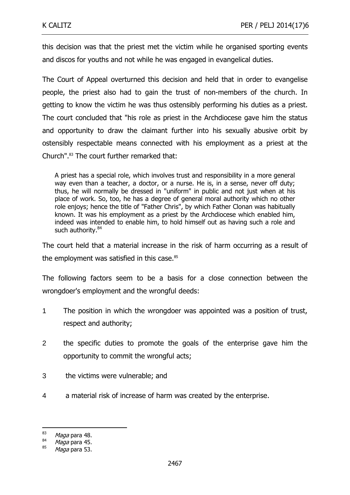this decision was that the priest met the victim while he organised sporting events and discos for youths and not while he was engaged in evangelical duties.

The Court of Appeal overturned this decision and held that in order to evangelise people, the priest also had to gain the trust of non-members of the church. In getting to know the victim he was thus ostensibly performing his duties as a priest. The court concluded that "his role as priest in the Archdiocese gave him the status and opportunity to draw the claimant further into his sexually abusive orbit by ostensibly respectable means connected with his employment as a priest at the Church". <sup>83</sup> The court further remarked that:

A priest has a special role, which involves trust and responsibility in a more general way even than a teacher, a doctor, or a nurse. He is, in a sense, never off duty; thus, he will normally be dressed in "uniform" in public and not just when at his place of work. So, too, he has a degree of general moral authority which no other role enjoys; hence the title of "Father Chris", by which Father Clonan was habitually known. It was his employment as a priest by the Archdiocese which enabled him, indeed was intended to enable him, to hold himself out as having such a role and such authority.<sup>84</sup>

The court held that a material increase in the risk of harm occurring as a result of the employment was satisfied in this case.<sup>85</sup>

The following factors seem to be a basis for a close connection between the wrongdoer's employment and the wrongful deeds:

- 1 The position in which the wrongdoer was appointed was a position of trust, respect and authority;
- 2 the specific duties to promote the goals of the enterprise gave him the opportunity to commit the wrongful acts;
- 3 the victims were vulnerable; and
- 4 a material risk of increase of harm was created by the enterprise.

<sup>-</sup> $\frac{83}{84}$  *Maga* para 48.

 $\frac{84}{85}$  *Maga* para 45.

Maga para 53.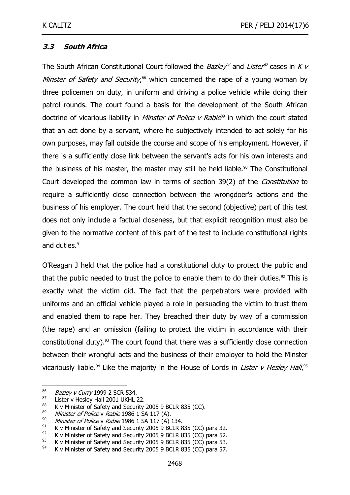### **3.3 South Africa**

The South African Constitutional Court followed the *Bazley<sup>86</sup>* and *Lister<sup>87</sup>* cases in K v Minster of Safety and Security,<sup>88</sup> which concerned the rape of a young woman by three policemen on duty, in uniform and driving a police vehicle while doing their patrol rounds. The court found a basis for the development of the South African doctrine of vicarious liability in *Minster of Police v Rabie*<sup>39</sup> in which the court stated that an act done by a servant, where he subjectively intended to act solely for his own purposes, may fall outside the course and scope of his employment. However, if there is a sufficiently close link between the servant's acts for his own interests and the business of his master, the master may still be held liable.<sup>90</sup> The Constitutional Court developed the common law in terms of section 39(2) of the *Constitution* to require a sufficiently close connection between the wrongdoer's actions and the business of his employer. The court held that the second (objective) part of this test does not only include a factual closeness, but that explicit recognition must also be given to the normative content of this part of the test to include constitutional rights and duties.<sup>91</sup>

O'Reagan J held that the police had a constitutional duty to protect the public and that the public needed to trust the police to enable them to do their duties.<sup>92</sup> This is exactly what the victim did. The fact that the perpetrators were provided with uniforms and an official vehicle played a role in persuading the victim to trust them and enabled them to rape her. They breached their duty by way of a commission (the rape) and an omission (failing to protect the victim in accordance with their constitutional duty).<sup>93</sup> The court found that there was a sufficiently close connection between their wrongful acts and the business of their employer to hold the Minster vicariously liable.<sup>94</sup> Like the majority in the House of Lords in *Lister v Hesley Hall*,<sup>95</sup>

 $^{86}$  Bazley v Curry 1999 2 SCR 534.

Lister v Hesley Hall 2001 UKHL 22.

<sup>&</sup>lt;sup>88</sup> K v Minister of Safety and Security 2005 9 BCLR 835 (CC).<br><sup>89</sup> Minister of Police v Pabie 1986 1 SA 117 (A)

<sup>&</sup>lt;sup>89</sup> Minister of Police v Rabie 1986 1 SA 117 (A).

<sup>&</sup>lt;sup>90</sup> Minister of Police v Rabie 1986 1 SA 117 (A) 134.

<sup>&</sup>lt;sup>91</sup> K v Minister of Safety and Security 2005 9 BCLR 835 (CC) para 32.

<sup>&</sup>lt;sup>92</sup> K v Minister of Safety and Security 2005 9 BCLR 835 (CC) para 52.<br><sup>93</sup> K v Minister of Safety and Security 2005 9 BCLB 835 (CC) para 53

<sup>93</sup> K v Minister of Safety and Security 2005 9 BCLR 835 (CC) para 53.<br>94 K v Minister of Safety and Security 2005 0 BCLB 825 (CC) para 57.

K v Minister of Safety and Security 2005 9 BCLR 835 (CC) para 57.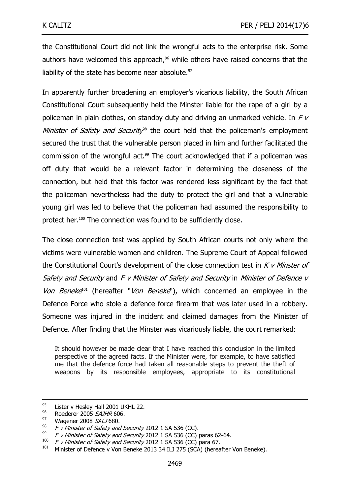the Constitutional Court did not link the wrongful acts to the enterprise risk. Some authors have welcomed this approach, <sup>96</sup> while others have raised concerns that the liability of the state has become near absolute.<sup>97</sup>

In apparently further broadening an employer's vicarious liability, the South African Constitutional Court subsequently held the Minster liable for the rape of a girl by a policeman in plain clothes, on standby duty and driving an unmarked vehicle. In  $F\vee$ *Minister of Safety and Security*<sup>88</sup> the court held that the policeman's employment secured the trust that the vulnerable person placed in him and further facilitated the commission of the wrongful act.<sup>99</sup> The court acknowledged that if a policeman was off duty that would be a relevant factor in determining the closeness of the connection, but held that this factor was rendered less significant by the fact that the policeman nevertheless had the duty to protect the girl and that a vulnerable young girl was led to believe that the policeman had assumed the responsibility to protect her.<sup>100</sup> The connection was found to be sufficiently close.

The close connection test was applied by South African courts not only where the victims were vulnerable women and children. The Supreme Court of Appeal followed the Constitutional Court's development of the close connection test in  $Kv$  Minster of Safety and Security and F v Minister of Safety and Security in Minister of Defence v Von Beneke<sup>101</sup> (hereafter "Von Beneke"), which concerned an employee in the Defence Force who stole a defence force firearm that was later used in a robbery. Someone was injured in the incident and claimed damages from the Minister of Defence. After finding that the Minster was vicariously liable, the court remarked:

It should however be made clear that I have reached this conclusion in the limited perspective of the agreed facts. If the Minister were, for example, to have satisfied me that the defence force had taken all reasonable steps to prevent the theft of weapons by its responsible employees, appropriate to its constitutional

<sup>95</sup> Lister v Hesley Hall 2001 UKHL 22.

 $^{96}$  Roederer 2005 *SAJHR* 606.<br><sup>97</sup> Wagener 2008 *SAJ 1680* 

 $^{97}$  Wagener 2008 *SALJ* 680.

<sup>&</sup>lt;sup>98</sup> F v Minister of Safety and Security 2012 1 SA 536 (CC).

<sup>&</sup>lt;sup>99</sup> F v Minister of Safety and Security 2012 1 SA 536 (CC) paras 62-64.

<sup>&</sup>lt;sup>100</sup> F v Minister of Safety and Security 2012 1 SA 536 (CC) para 67.

Minister of Defence v Von Beneke 2013 34 ILJ 275 (SCA) (hereafter Von Beneke).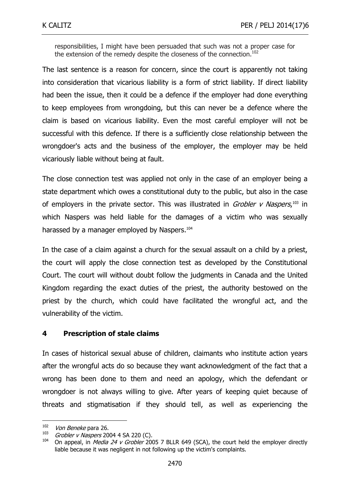responsibilities, I might have been persuaded that such was not a proper case for the extension of the remedy despite the closeness of the connection.<sup>102</sup>

The last sentence is a reason for concern, since the court is apparently not taking into consideration that vicarious liability is a form of strict liability. If direct liability had been the issue, then it could be a defence if the employer had done everything to keep employees from wrongdoing, but this can never be a defence where the claim is based on vicarious liability. Even the most careful employer will not be successful with this defence. If there is a sufficiently close relationship between the wrongdoer's acts and the business of the employer, the employer may be held vicariously liable without being at fault.

The close connection test was applied not only in the case of an employer being a state department which owes a constitutional duty to the public, but also in the case of employers in the private sector. This was illustrated in *Grobler v Naspers*,<sup>103</sup> in which Naspers was held liable for the damages of a victim who was sexually harassed by a manager employed by Naspers.<sup>104</sup>

In the case of a claim against a church for the sexual assault on a child by a priest, the court will apply the close connection test as developed by the Constitutional Court. The court will without doubt follow the judgments in Canada and the United Kingdom regarding the exact duties of the priest, the authority bestowed on the priest by the church, which could have facilitated the wrongful act, and the vulnerability of the victim.

#### **4 Prescription of stale claims**

In cases of historical sexual abuse of children, claimants who institute action years after the wrongful acts do so because they want acknowledgment of the fact that a wrong has been done to them and need an apology, which the defendant or wrongdoer is not always willing to give. After years of keeping quiet because of threats and stigmatisation if they should tell, as well as experiencing the

 $\frac{102}{103}$  *Von Beneke* para 26.

 $103$  Grobler v Naspers 2004 4 SA 220 (C).

On appeal, in *Media 24 v Grobler* 2005 7 BLLR 649 (SCA), the court held the employer directly liable because it was negligent in not following up the victim's complaints.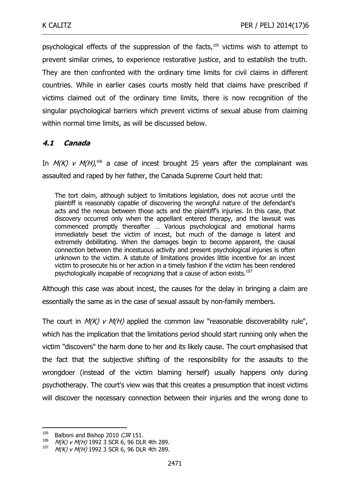psychological effects of the suppression of the facts,<sup>105</sup> victims wish to attempt to prevent similar crimes, to experience restorative justice, and to establish the truth. They are then confronted with the ordinary time limits for civil claims in different countries. While in earlier cases courts mostly held that claims have prescribed if victims claimed out of the ordinary time limits, there is now recognition of the singular psychological barriers which prevent victims of sexual abuse from claiming within normal time limits, as will be discussed below.

# **4.1 Canada**

In  $M(K)$  v  $M(H)$ ,<sup>106</sup> a case of incest brought 25 years after the complainant was assaulted and raped by her father, the Canada Supreme Court held that:

The tort claim, although subject to limitations legislation, does not accrue until the plaintiff is reasonably capable of discovering the wrongful nature of the defendant's acts and the nexus between those acts and the plaintiff's injuries. In this case, that discovery occurred only when the appellant entered therapy, and the lawsuit was commenced promptly thereafter … Various psychological and emotional harms immediately beset the victim of incest, but much of the damage is latent and extremely debilitating. When the damages begin to become apparent, the causal connection between the incestuous activity and present psychological injuries is often unknown to the victim. A statute of limitations provides little incentive for an incest victim to prosecute his or her action in a timely fashion if the victim has been rendered psychologically incapable of recognizing that a cause of action exists.<sup>107</sup>

Although this case was about incest, the causes for the delay in bringing a claim are essentially the same as in the case of sexual assault by non-family members.

The court in  $M(K)$  v  $M(H)$  applied the common law "reasonable discoverability rule", which has the implication that the limitations period should start running only when the victim "discovers" the harm done to her and its likely cause. The court emphasised that the fact that the subjective shifting of the responsibility for the assaults to the wrongdoer (instead of the victim blaming herself) usually happens only during psychotherapy. The court's view was that this creates a presumption that incest victims will discover the necessary connection between their injuries and the wrong done to

<sup>&</sup>lt;sup>105</sup> Balboni and Bishop 2010 *CJR* 151.<br><sup>106</sup> M(K) K M(H) 1992 3 SCR 6 96 DLE

 $106$  *M(K) v M(H)* 1992 3 SCR 6, 96 DLR 4th 289.

 $M(K)$  v  $M(H)$  1992 3 SCR 6, 96 DLR 4th 289.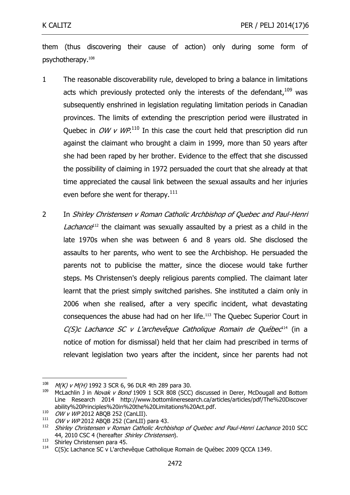them (thus discovering their cause of action) only during some form of psychotherapy. 108

- 1 The reasonable discoverability rule, developed to bring a balance in limitations acts which previously protected only the interests of the defendant,  $^{109}$  was subsequently enshrined in legislation regulating limitation periods in Canadian provinces. The limits of extending the prescription period were illustrated in Quebec in OW v WP.<sup>110</sup> In this case the court held that prescription did run against the claimant who brought a claim in 1999, more than 50 years after she had been raped by her brother. Evidence to the effect that she discussed the possibility of claiming in 1972 persuaded the court that she already at that time appreciated the causal link between the sexual assaults and her injuries even before she went for therapy. $111$
- 2 In Shirley Christensen v Roman Catholic Archbishop of Quebec and Paul-Henri Lachance<sup>112</sup> the claimant was sexually assaulted by a priest as a child in the late 1970s when she was between 6 and 8 years old. She disclosed the assaults to her parents, who went to see the Archbishop. He persuaded the parents not to publicise the matter, since the diocese would take further steps. Ms Christensen's deeply religious parents complied. The claimant later learnt that the priest simply switched parishes. She instituted a claim only in 2006 when she realised, after a very specific incident, what devastating consequences the abuse had had on her life.<sup>113</sup> The Quebec Superior Court in  $C(S)$ c Lachance SC v L'archevêque Catholique Romain de Québec<sup>114</sup> (in a notice of motion for dismissal) held that her claim had prescribed in terms of relevant legislation two years after the incident, since her parents had not

<sup>108</sup>  $108$  *M(K) v M(H)* 1992 3 SCR 6, 96 DLR 4th 289 para 30.

McLachlin J in Novak v Bond 1909 1 SCR 808 (SCC) discussed in Derer, McDougall and Bottom Line Research 2014 http://www.bottomlineresearch.ca/articles/articles/pdf/The%20Discover ability%20Principles%20in%20the%20Limitations%20Act.pdf.

 $110$  OW v WP 2012 ABQB 252 (CanLII).

 $111$  OW v WP 2012 ABQB 252 (CanLII) para 43.

<sup>112</sup> Shirley Christensen v Roman Catholic Archbishop of Quebec and Paul-Henri Lachance 2010 SCC 44, 2010 CSC 4 (hereafter Shirley Christensen).

 $113$  Shirley Christensen para 45.

C(S)c Lachance SC v L'archevêque Catholique Romain de Québec 2009 QCCA 1349.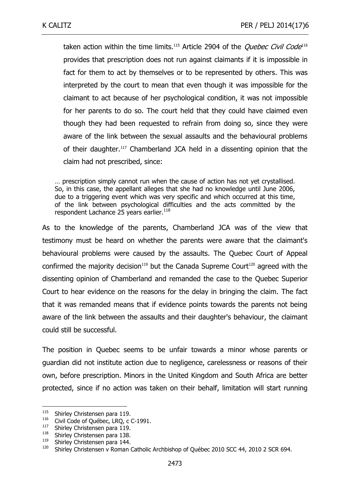taken action within the time limits.<sup>115</sup> Article 2904 of the *Quebec Civil Code*<sup>116</sup> provides that prescription does not run against claimants if it is impossible in fact for them to act by themselves or to be represented by others. This was interpreted by the court to mean that even though it was impossible for the claimant to act because of her psychological condition, it was not impossible for her parents to do so. The court held that they could have claimed even though they had been requested to refrain from doing so, since they were aware of the link between the sexual assaults and the behavioural problems of their daughter.<sup>117</sup> Chamberland JCA held in a dissenting opinion that the claim had not prescribed, since:

… prescription simply cannot run when the cause of action has not yet crystallised. So, in this case, the appellant alleges that she had no knowledge until June 2006, due to a triggering event which was very specific and which occurred at this time, of the link between psychological difficulties and the acts committed by the respondent Lachance 25 years earlier. $118$ 

As to the knowledge of the parents, Chamberland JCA was of the view that testimony must be heard on whether the parents were aware that the claimant's behavioural problems were caused by the assaults. The Quebec Court of Appeal confirmed the majority decision<sup>119</sup> but the Canada Supreme Court<sup>120</sup> agreed with the dissenting opinion of Chamberland and remanded the case to the Quebec Superior Court to hear evidence on the reasons for the delay in bringing the claim. The fact that it was remanded means that if evidence points towards the parents not being aware of the link between the assaults and their daughter's behaviour, the claimant could still be successful.

The position in Quebec seems to be unfair towards a minor whose parents or guardian did not institute action due to negligence, carelessness or reasons of their own, before prescription. Minors in the United Kingdom and South Africa are better protected, since if no action was taken on their behalf, limitation will start running

<sup>&</sup>lt;sup>115</sup> Shirley Christensen para 119.<br><sup>116</sup> Civil Code of Québec, LPO S.

 $116$  Civil Code of Québec, LRQ, c C-1991.

<sup>&</sup>lt;sup>117</sup> Shirley Christensen para 119.<br><sup>118</sup> Shirley Christensen para 129.

<sup>&</sup>lt;sup>118</sup> Shirley Christensen para 138.<br><sup>119</sup> Shirley Christensen para 144

<sup>&</sup>lt;sup>119</sup> Shirley Christensen para 144.<br><sup>120</sup> Shirley Christensen v Roman (

Shirley Christensen v Roman Catholic Archbishop of Ouébec 2010 SCC 44, 2010 2 SCR 694.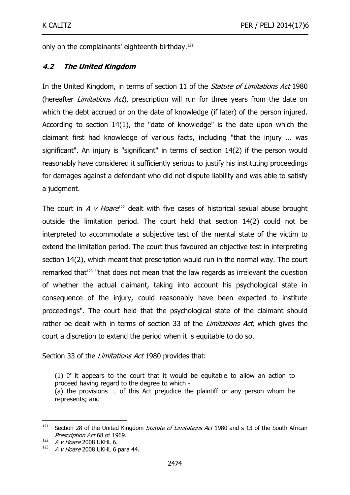only on the complainants' eighteenth birthday. 121

### **4.2 The United Kingdom**

In the United Kingdom, in terms of section 11 of the Statute of Limitations Act 1980 (hereafter *Limitations Act*), prescription will run for three years from the date on which the debt accrued or on the date of knowledge (if later) of the person injured. According to section 14(1), the "date of knowledge" is the date upon which the claimant first had knowledge of various facts, including "that the injury … was significant". An injury is "significant" in terms of section 14(2) if the person would reasonably have considered it sufficiently serious to justify his instituting proceedings for damages against a defendant who did not dispute liability and was able to satisfy a judgment.

The court in A  $v$  Hoare<sup>122</sup> dealt with five cases of historical sexual abuse brought outside the limitation period. The court held that section 14(2) could not be interpreted to accommodate a subjective test of the mental state of the victim to extend the limitation period. The court thus favoured an objective test in interpreting section 14(2), which meant that prescription would run in the normal way. The court remarked that $123$  "that does not mean that the law regards as irrelevant the question of whether the actual claimant, taking into account his psychological state in consequence of the injury, could reasonably have been expected to institute proceedings". The court held that the psychological state of the claimant should rather be dealt with in terms of section 33 of the *Limitations Act*, which gives the court a discretion to extend the period when it is equitable to do so.

Section 33 of the *Limitations Act* 1980 provides that:

(1) If it appears to the court that it would be equitable to allow an action to proceed having regard to the degree to which - (a) the provisions … of this Act prejudice the plaintiff or any person whom he represents; and

<sup>&</sup>lt;sup>121</sup> Section 28 of the United Kingdom *Statute of Limitations Act* 1980 and s 13 of the South African Prescription Act 68 of 1969.

 $122$  A v Hoare 2008 UKHL 6.

 $A$  v Hoare 2008 UKHL 6 para 44.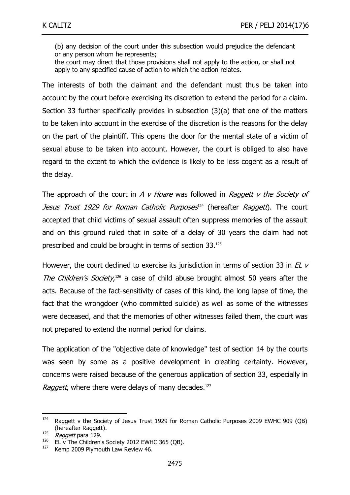(b) any decision of the court under this subsection would prejudice the defendant or any person whom he represents;

the court may direct that those provisions shall not apply to the action, or shall not apply to any specified cause of action to which the action relates.

The interests of both the claimant and the defendant must thus be taken into account by the court before exercising its discretion to extend the period for a claim. Section 33 further specifically provides in subsection (3)(a) that one of the matters to be taken into account in the exercise of the discretion is the reasons for the delay on the part of the plaintiff. This opens the door for the mental state of a victim of sexual abuse to be taken into account. However, the court is obliged to also have regard to the extent to which the evidence is likely to be less cogent as a result of the delay.

The approach of the court in  $A \vee$  Hoare was followed in Raggett  $\nu$  the Society of Jesus Trust 1929 for Roman Catholic Purposes<sup>124</sup> (hereafter Raggett). The court accepted that child victims of sexual assault often suppress memories of the assault and on this ground ruled that in spite of a delay of 30 years the claim had not prescribed and could be brought in terms of section 33.<sup>125</sup>

However, the court declined to exercise its jurisdiction in terms of section 33 in  $EL$   $v$ The Children's Society,<sup>126</sup> a case of child abuse brought almost 50 years after the acts. Because of the fact-sensitivity of cases of this kind, the long lapse of time, the fact that the wrongdoer (who committed suicide) as well as some of the witnesses were deceased, and that the memories of other witnesses failed them, the court was not prepared to extend the normal period for claims.

The application of the "objective date of knowledge" test of section 14 by the courts was seen by some as a positive development in creating certainty. However, concerns were raised because of the generous application of section 33, especially in Raggett, where there were delays of many decades.<sup>127</sup>

<sup>&</sup>lt;sup>124</sup> Raggett v the Society of Jesus Trust 1929 for Roman Catholic Purposes 2009 EWHC 909 (QB) (hereafter Raggett).

 $\frac{125}{126}$  Raggett para 129.

<sup>&</sup>lt;sup>126</sup> EL v The Children's Society 2012 EWHC 365 (QB).

Kemp 2009 Plymouth Law Review 46.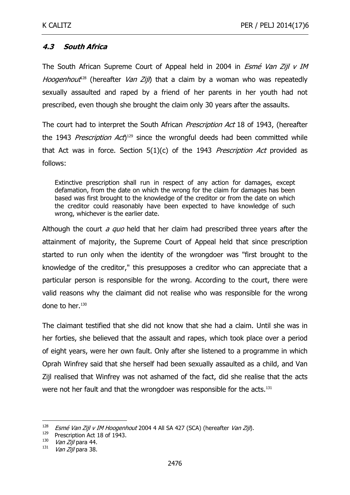# **4.3 South Africa**

The South African Supreme Court of Appeal held in 2004 in *Esmé Van Zijl v IM* Hoogenhout<sup>a28</sup> (hereafter *Van Zijl*) that a claim by a woman who was repeatedly sexually assaulted and raped by a friend of her parents in her youth had not prescribed, even though she brought the claim only 30 years after the assaults.

The court had to interpret the South African *Prescription Act* 18 of 1943, (hereafter the 1943 *Prescription Act*)<sup>129</sup> since the wrongful deeds had been committed while that Act was in force. Section  $5(1)(c)$  of the 1943 *Prescription Act* provided as follows:

Extinctive prescription shall run in respect of any action for damages, except defamation, from the date on which the wrong for the claim for damages has been based was first brought to the knowledge of the creditor or from the date on which the creditor could reasonably have been expected to have knowledge of such wrong, whichever is the earlier date.

Although the court *a quo* held that her claim had prescribed three years after the attainment of majority, the Supreme Court of Appeal held that since prescription started to run only when the identity of the wrongdoer was "first brought to the knowledge of the creditor," this presupposes a creditor who can appreciate that a particular person is responsible for the wrong. According to the court, there were valid reasons why the claimant did not realise who was responsible for the wrong done to her. $130$ 

The claimant testified that she did not know that she had a claim. Until she was in her forties, she believed that the assault and rapes, which took place over a period of eight years, were her own fault. Only after she listened to a programme in which Oprah Winfrey said that she herself had been sexually assaulted as a child, and Van Zijl realised that Winfrey was not ashamed of the fact, did she realise that the acts were not her fault and that the wrongdoer was responsible for the acts.<sup>131</sup>

<sup>&</sup>lt;sup>128</sup> Esmé Van Zijl v IM Hoogenhout 2004 4 All SA 427 (SCA) (hereafter Van Zijl).

<sup>&</sup>lt;sup>129</sup> Prescription Act 18 of 1943.<br><sup>130</sup> Lan Zijlpara 44

 $\frac{130}{131}$  *Van Zijl* para 44.

Van Zijl para 38.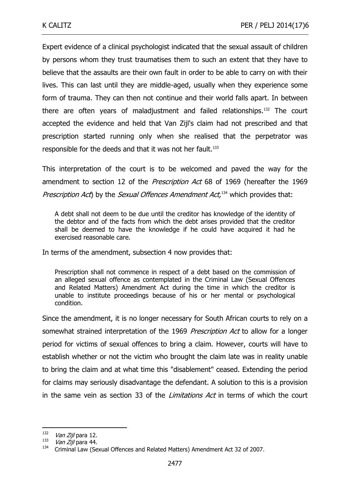Expert evidence of a clinical psychologist indicated that the sexual assault of children by persons whom they trust traumatises them to such an extent that they have to believe that the assaults are their own fault in order to be able to carry on with their lives. This can last until they are middle-aged, usually when they experience some form of trauma. They can then not continue and their world falls apart. In between there are often years of maladjustment and failed relationships.<sup>132</sup> The court accepted the evidence and held that Van Zijl's claim had not prescribed and that prescription started running only when she realised that the perpetrator was responsible for the deeds and that it was not her fault.<sup>133</sup>

This interpretation of the court is to be welcomed and paved the way for the amendment to section 12 of the Prescription Act 68 of 1969 (hereafter the 1969 Prescription Act) by the Sexual Offences Amendment Act,<sup>134</sup> which provides that:

A debt shall not deem to be due until the creditor has knowledge of the identity of the debtor and of the facts from which the debt arises provided that the creditor shall be deemed to have the knowledge if he could have acquired it had he exercised reasonable care.

In terms of the amendment, subsection 4 now provides that:

Prescription shall not commence in respect of a debt based on the commission of an alleged sexual offence as contemplated in the Criminal Law (Sexual Offences and Related Matters) Amendment Act during the time in which the creditor is unable to institute proceedings because of his or her mental or psychological condition.

Since the amendment, it is no longer necessary for South African courts to rely on a somewhat strained interpretation of the 1969 *Prescription Act* to allow for a longer period for victims of sexual offences to bring a claim. However, courts will have to establish whether or not the victim who brought the claim late was in reality unable to bring the claim and at what time this "disablement" ceased. Extending the period for claims may seriously disadvantage the defendant. A solution to this is a provision in the same vein as section 33 of the *Limitations Act* in terms of which the court

 $\frac{132}{133}$  *Van Zijl* para 12.

 $\frac{133}{134}$  *Van Zijl* para 44.

<sup>134</sup> Criminal Law (Sexual Offences and Related Matters) Amendment Act 32 of 2007.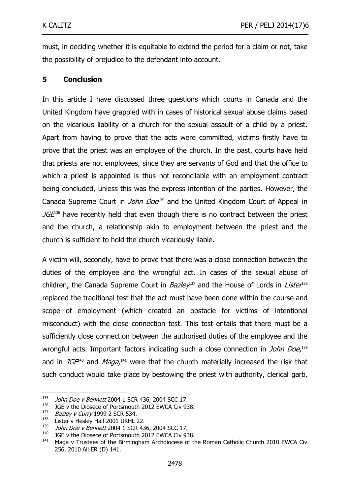must, in deciding whether it is equitable to extend the period for a claim or not, take the possibility of prejudice to the defendant into account.

# **5 Conclusion**

In this article I have discussed three questions which courts in Canada and the United Kingdom have grappled with in cases of historical sexual abuse claims based on the vicarious liability of a church for the sexual assault of a child by a priest. Apart from having to prove that the acts were committed, victims firstly have to prove that the priest was an employee of the church. In the past, courts have held that priests are not employees, since they are servants of God and that the office to which a priest is appointed is thus not reconcilable with an employment contract being concluded, unless this was the express intention of the parties. However, the Canada Supreme Court in *John Doe*<sup>135</sup> and the United Kingdom Court of Appeal in JGE<sup>36</sup> have recently held that even though there is no contract between the priest and the church, a relationship akin to employment between the priest and the church is sufficient to hold the church vicariously liable.

A victim will, secondly, have to prove that there was a close connection between the duties of the employee and the wrongful act. In cases of the sexual abuse of children, the Canada Supreme Court in *Bazley*<sup>37</sup> and the House of Lords in *Lister*<sup>138</sup> replaced the traditional test that the act must have been done within the course and scope of employment (which created an obstacle for victims of intentional misconduct) with the close connection test. This test entails that there must be a sufficiently close connection between the authorised duties of the employee and the wrongful acts. Important factors indicating such a close connection in *John Doe*,<sup>139</sup> and in JGE<sup>40</sup> and *Maga*,<sup>141</sup> were that the church materially increased the risk that such conduct would take place by bestowing the priest with authority, clerical garb,

<sup>135</sup>  $135$  John Doe v Bennett 2004 1 SCR 436, 2004 SCC 17.

<sup>&</sup>lt;sup>136</sup> JGE v the Diosece of Portsmouth 2012 EWCA Civ 938.<br><sup>137</sup> Bazlev v Curry 1999 2 SCP 534

 $^{137}$  Bazley v Curry 1999 2 SCR 534.

 $^{138}$  Lister v Hesley Hall 2001 UKHL 22.

<sup>&</sup>lt;sup>139</sup> *John Doe v Bennett* 2004 1 SCR 436, 2004 SCC 17.

<sup>&</sup>lt;sup>140</sup> JGE v the Diosece of Portsmouth 2012 EWCA Civ 938.<br><sup>141</sup> Maga v Trustage of the Birmingham Archivesce of the

<sup>141</sup> Maga v Trustees of the Birmingham Archdiocese of the Roman Catholic Church 2010 EWCA Civ 256, 2010 All ER (D) 141.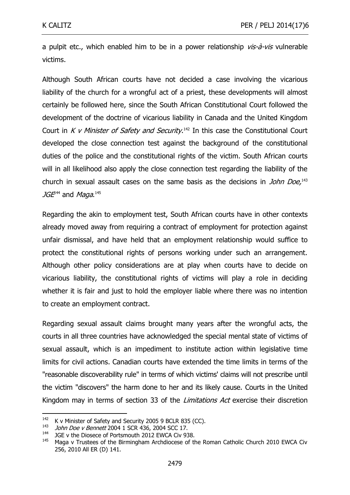a pulpit etc., which enabled him to be in a power relationship  $vis-\partial-vis$  vulnerable victims.

Although South African courts have not decided a case involving the vicarious liability of the church for a wrongful act of a priest, these developments will almost certainly be followed here, since the South African Constitutional Court followed the development of the doctrine of vicarious liability in Canada and the United Kingdom Court in K v Minister of Safety and Security.<sup>142</sup> In this case the Constitutional Court developed the close connection test against the background of the constitutional duties of the police and the constitutional rights of the victim. South African courts will in all likelihood also apply the close connection test regarding the liability of the church in sexual assault cases on the same basis as the decisions in *John Doe*,<sup>143</sup> JGE<sup>44</sup> and *Maga*.<sup>145</sup>

Regarding the akin to employment test, South African courts have in other contexts already moved away from requiring a contract of employment for protection against unfair dismissal, and have held that an employment relationship would suffice to protect the constitutional rights of persons working under such an arrangement. Although other policy considerations are at play when courts have to decide on vicarious liability, the constitutional rights of victims will play a role in deciding whether it is fair and just to hold the employer liable where there was no intention to create an employment contract.

Regarding sexual assault claims brought many years after the wrongful acts, the courts in all three countries have acknowledged the special mental state of victims of sexual assault, which is an impediment to institute action within legislative time limits for civil actions. Canadian courts have extended the time limits in terms of the "reasonable discoverability rule" in terms of which victims' claims will not prescribe until the victim "discovers" the harm done to her and its likely cause. Courts in the United Kingdom may in terms of section 33 of the *Limitations Act* exercise their discretion

<sup>&</sup>lt;sup>142</sup> K v Minister of Safety and Security 2005 9 BCLR 835 (CC).

<sup>&</sup>lt;sup>143</sup> *John Doe v Bennett* 2004 1 SCR 436, 2004 SCC 17.

<sup>&</sup>lt;sup>144</sup> JGE v the Diosece of Portsmouth 2012 EWCA Civ 938.<br><sup>145</sup> Maga v Trustage of the Birmingham Archivesco of the

<sup>145</sup> Maga v Trustees of the Birmingham Archdiocese of the Roman Catholic Church 2010 EWCA Civ 256, 2010 All ER (D) 141.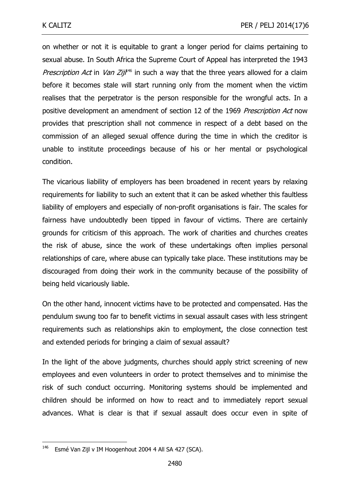on whether or not it is equitable to grant a longer period for claims pertaining to sexual abuse. In South Africa the Supreme Court of Appeal has interpreted the 1943 Prescription Act in Van Zijl<sup>46</sup> in such a way that the three years allowed for a claim before it becomes stale will start running only from the moment when the victim realises that the perpetrator is the person responsible for the wrongful acts. In a positive development an amendment of section 12 of the 1969 Prescription Act now provides that prescription shall not commence in respect of a debt based on the commission of an alleged sexual offence during the time in which the creditor is unable to institute proceedings because of his or her mental or psychological condition.

The vicarious liability of employers has been broadened in recent years by relaxing requirements for liability to such an extent that it can be asked whether this faultless liability of employers and especially of non-profit organisations is fair. The scales for fairness have undoubtedly been tipped in favour of victims. There are certainly grounds for criticism of this approach. The work of charities and churches creates the risk of abuse, since the work of these undertakings often implies personal relationships of care, where abuse can typically take place. These institutions may be discouraged from doing their work in the community because of the possibility of being held vicariously liable.

On the other hand, innocent victims have to be protected and compensated. Has the pendulum swung too far to benefit victims in sexual assault cases with less stringent requirements such as relationships akin to employment, the close connection test and extended periods for bringing a claim of sexual assault?

In the light of the above judgments, churches should apply strict screening of new employees and even volunteers in order to protect themselves and to minimise the risk of such conduct occurring. Monitoring systems should be implemented and children should be informed on how to react and to immediately report sexual advances. What is clear is that if sexual assault does occur even in spite of

<sup>&</sup>lt;sup>146</sup> Esmé Van Zijl v IM Hoogenhout 2004 4 All SA 427 (SCA).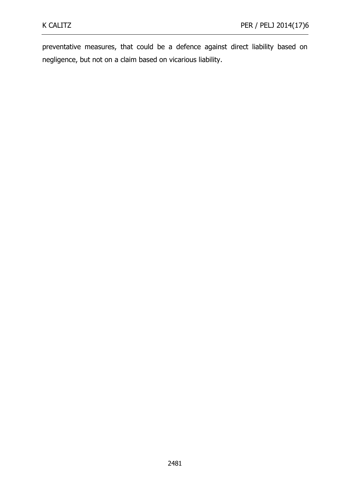preventative measures, that could be a defence against direct liability based on negligence, but not on a claim based on vicarious liability.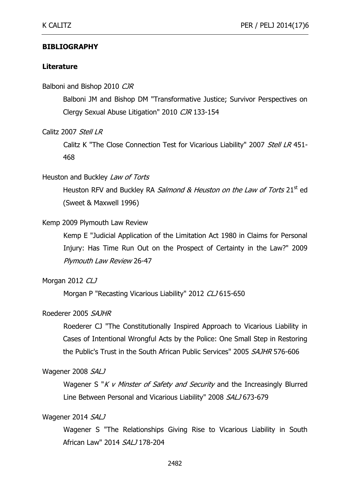#### **BIBLIOGRAPHY**

#### **Literature**

Balboni and Bishop 2010 CJR

Balboni JM and Bishop DM "Transformative Justice; Survivor Perspectives on Clergy Sexual Abuse Litigation" 2010 CJR 133-154

#### Calitz 2007 Stell LR

Calitz K "The Close Connection Test for Vicarious Liability" 2007 Stell LR 451-468

#### Heuston and Buckley Law of Torts

Heuston RFV and Buckley RA *Salmond & Heuston on the Law of Torts* 21<sup>st</sup> ed (Sweet & Maxwell 1996)

#### Kemp 2009 Plymouth Law Review

Kemp E "Judicial Application of the Limitation Act 1980 in Claims for Personal Injury: Has Time Run Out on the Prospect of Certainty in the Law?" 2009 Plymouth Law Review 26-47

#### Morgan 2012 CLJ

Morgan P "Recasting Vicarious Liability" 2012 CLJ 615-650

#### Roederer 2005 SAJHR

Roederer CJ "The Constitutionally Inspired Approach to Vicarious Liability in Cases of Intentional Wrongful Acts by the Police: One Small Step in Restoring the Public's Trust in the South African Public Services" 2005 SAJHR 576-606

#### Wagener 2008 SALJ

Wagener S " $K$  v Minster of Safety and Security and the Increasingly Blurred Line Between Personal and Vicarious Liability" 2008 SALJ 673-679

#### Wagener 2014 SALJ

Wagener S "The Relationships Giving Rise to Vicarious Liability in South African Law" 2014 SALJ 178-204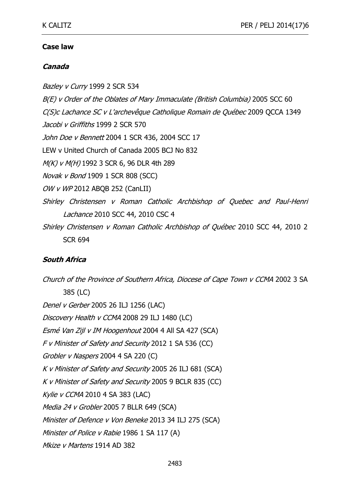#### **Case law**

#### **Canada**

Bazley v Curry 1999 2 SCR 534 B(E) v Order of the Oblates of Mary Immaculate (British Columbia) 2005 SCC 60 C(S)c Lachance SC v L'archevêque Catholique Romain de Québec 2009 QCCA 1349 Jacobi v Griffiths 1999 2 SCR 570 John Doe v Bennett 2004 1 SCR 436, 2004 SCC 17 LEW v United Church of Canada 2005 BCJ No 832 M(K) v M(H) 1992 3 SCR 6, 96 DLR 4th 289 Novak v Bond 1909 1 SCR 808 (SCC) OW v WP 2012 ABQB 252 (CanLII) Shirley Christensen v Roman Catholic Archbishop of Quebec and Paul-Henri Lachance 2010 SCC 44, 2010 CSC 4 Shirley Christensen v Roman Catholic Archbishop of Québec 2010 SCC 44, 2010 2 SCR 694

### **South Africa**

Church of the Province of Southern Africa, Diocese of Cape Town v CCMA 2002 3 SA 385 (LC) Denel v Gerber 2005 26 ILJ 1256 (LAC) Discovery Health v CCMA 2008 29 ILJ 1480 (LC) Esmé Van Zijl v IM Hoogenhout 2004 4 All SA 427 (SCA) F v Minister of Safety and Security 2012 1 SA 536 (CC) Grobler v Naspers 2004 4 SA 220 (C) K v Minister of Safety and Security 2005 26 ILJ 681 (SCA) K v Minister of Safety and Security 2005 9 BCLR 835 (CC) Kylie v CCMA 2010 4 SA 383 (LAC) Media 24 v Grobler 2005 7 BLLR 649 (SCA) Minister of Defence v Von Beneke 2013 34 ILJ 275 (SCA) Minister of Police v Rabie 1986 1 SA 117 (A) Mkize v Martens 1914 AD 382

2483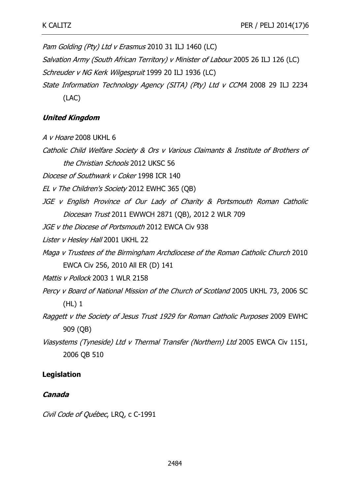Pam Golding (Pty) Ltd v Erasmus 2010 31 ILJ 1460 (LC) Salvation Army (South African Territory) v Minister of Labour 2005 26 ILJ 126 (LC) Schreuder v NG Kerk Wilgespruit 1999 20 ILJ 1936 (LC) State Information Technology Agency (SITA) (Pty) Ltd v CCMA 2008 29 ILJ 2234 (LAC)

# **United Kingdom**

A v Hoare 2008 UKHL 6

Catholic Child Welfare Society & Ors v Various Claimants & Institute of Brothers of the Christian Schools 2012 UKSC 56 Diocese of Southwark v Coker 1998 ICR 140 EL v The Children's Society 2012 EWHC 365 (QB) JGE v English Province of Our Lady of Charity & Portsmouth Roman Catholic Diocesan Trust 2011 EWWCH 2871 (QB), 2012 2 WLR 709 JGE v the Diocese of Portsmouth 2012 EWCA Civ 938 Lister v Hesley Hall 2001 UKHL 22 Maga v Trustees of the Birmingham Archdiocese of the Roman Catholic Church 2010 EWCA Civ 256, 2010 All ER (D) 141 Mattis v Pollock 2003 1 WLR 2158 Percy v Board of National Mission of the Church of Scotland 2005 UKHL 73, 2006 SC (HL) 1 Raggett v the Society of Jesus Trust 1929 for Roman Catholic Purposes 2009 EWHC 909 (QB) Viasystems (Tyneside) Ltd v Thermal Transfer (Northern) Ltd 2005 EWCA Civ 1151, 2006 QB 510

### **Legislation**

### **Canada**

Civil Code of Québec, LRQ, c C-1991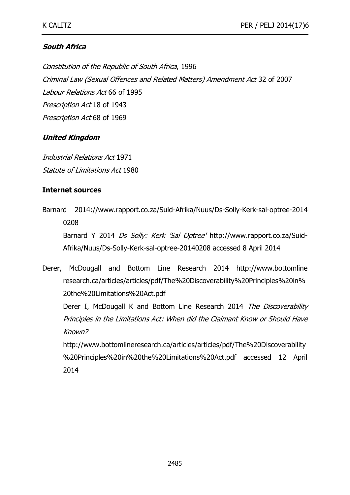# **South Africa**

Constitution of the Republic of South Africa, 1996 Criminal Law (Sexual Offences and Related Matters) Amendment Act 32 of 2007 Labour Relations Act 66 of 1995 Prescription Act 18 of 1943 Prescription Act 68 of 1969

# **United Kingdom**

Industrial Relations Act 1971 Statute of Limitations Act 1980

### **Internet sources**

Barnard 2014://www.rapport.co.za/Suid-Afrika/Nuus/Ds-Solly-Kerk-sal-optree-2014 0208 Barnard Y 2014 Ds Solly: Kerk 'Sal Optree' http://www.rapport.co.za/Suid-Afrika/Nuus/Ds-Solly-Kerk-sal-optree-20140208 accessed 8 April 2014

Derer, McDougall and Bottom Line Research 2014 http://www.bottomline research.ca/articles/articles/pdf/The%20Discoverability%20Principles%20in% 20the%20Limitations%20Act.pdf Derer I, McDougall K and Bottom Line Research 2014 The Discoverability Principles in the Limitations Act: When did the Claimant Know or Should Have Known? http://www.bottomlineresearch.ca/articles/articles/pdf/The%20Discoverability %20Principles%20in%20the%20Limitations%20Act.pdf accessed 12 April 2014

2485